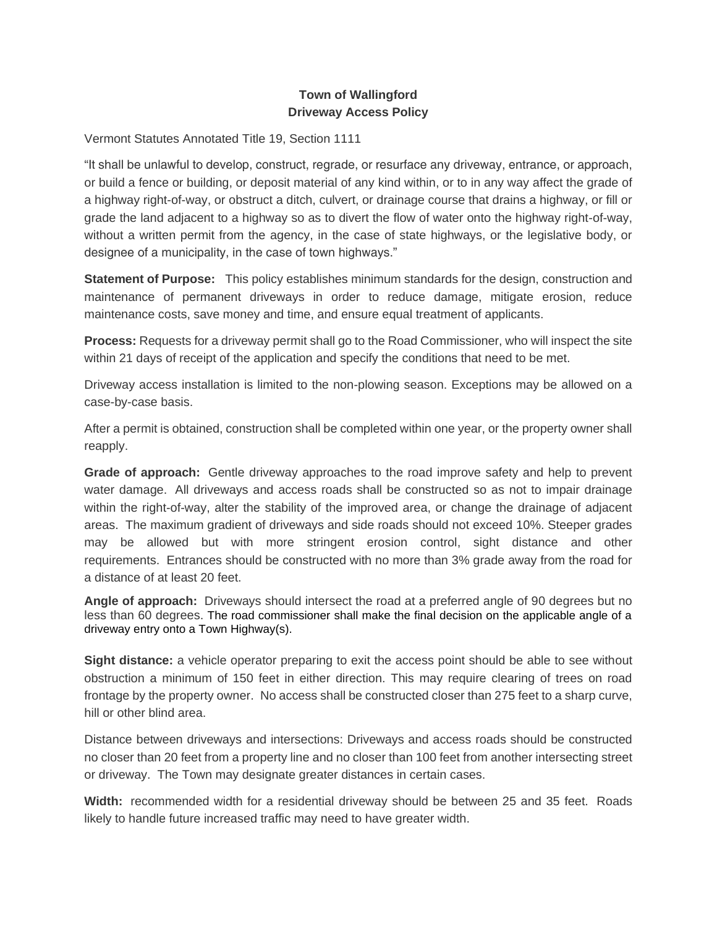## **Town of Wallingford Driveway Access Policy**

Vermont Statutes Annotated Title 19, Section 1111

"It shall be unlawful to develop, construct, regrade, or resurface any driveway, entrance, or approach, or build a fence or building, or deposit material of any kind within, or to in any way affect the grade of a highway right-of-way, or obstruct a ditch, culvert, or drainage course that drains a highway, or fill or grade the land adjacent to a highway so as to divert the flow of water onto the highway right-of-way, without a written permit from the agency, in the case of state highways, or the legislative body, or designee of a municipality, in the case of town highways."

**Statement of Purpose:** This policy establishes minimum standards for the design, construction and maintenance of *permanent* driveways in order to reduce damage, mitigate erosion, reduce maintenance costs, save money and time, and ensure equal treatment of applicants.

**Process:** Requests for a driveway permit shall go to the Road Commissioner, who will inspect the site *within 21 days of receipt of the application* and specify the conditions that need to be met.

Driveway access installation is limited to the non-plowing season. Exceptions may be allowed on a case-by-case basis.

After a permit is obtained, construction shall be completed within one year, or the property owner shall reapply.

**Grade of approach:** Gentle driveway approaches to the road improve safety and help to prevent water damage. All driveways and access roads shall be constructed so as not to impair drainage within the right-of-way, alter the stability of the improved area, or change the drainage of adjacent areas. The maximum gradient of driveways and side roads should not exceed 10%. Steeper grades may be allowed but with more stringent erosion control, sight distance and other requirements. Entrances should be constructed with no more than 3% grade away from the road for a distance of at least 20 feet.

**Angle of approach:** Driveways should intersect the road at a preferred angle of 90 degrees but no less than 60 degrees. The road commissioner shall make the final decision on the applicable angle of a driveway entry onto a Town Highway(s).

**Sight distance:** a vehicle operator preparing to exit the access point should be able to see without obstruction a minimum of 150 feet in either direction. This may require clearing of trees on road frontage by the property owner. No access shall be constructed closer than 275 feet to a sharp curve, hill or other blind area.

Distance between driveways and intersections: Driveways and access roads should be constructed no closer than 20 feet from a property line and no closer than 100 feet from another intersecting street or driveway. The Town may designate greater distances in certain cases.

**Width:** recommended width for a residential driveway should be between 25 and 35 feet. Roads likely to handle future increased traffic may need to have greater width.